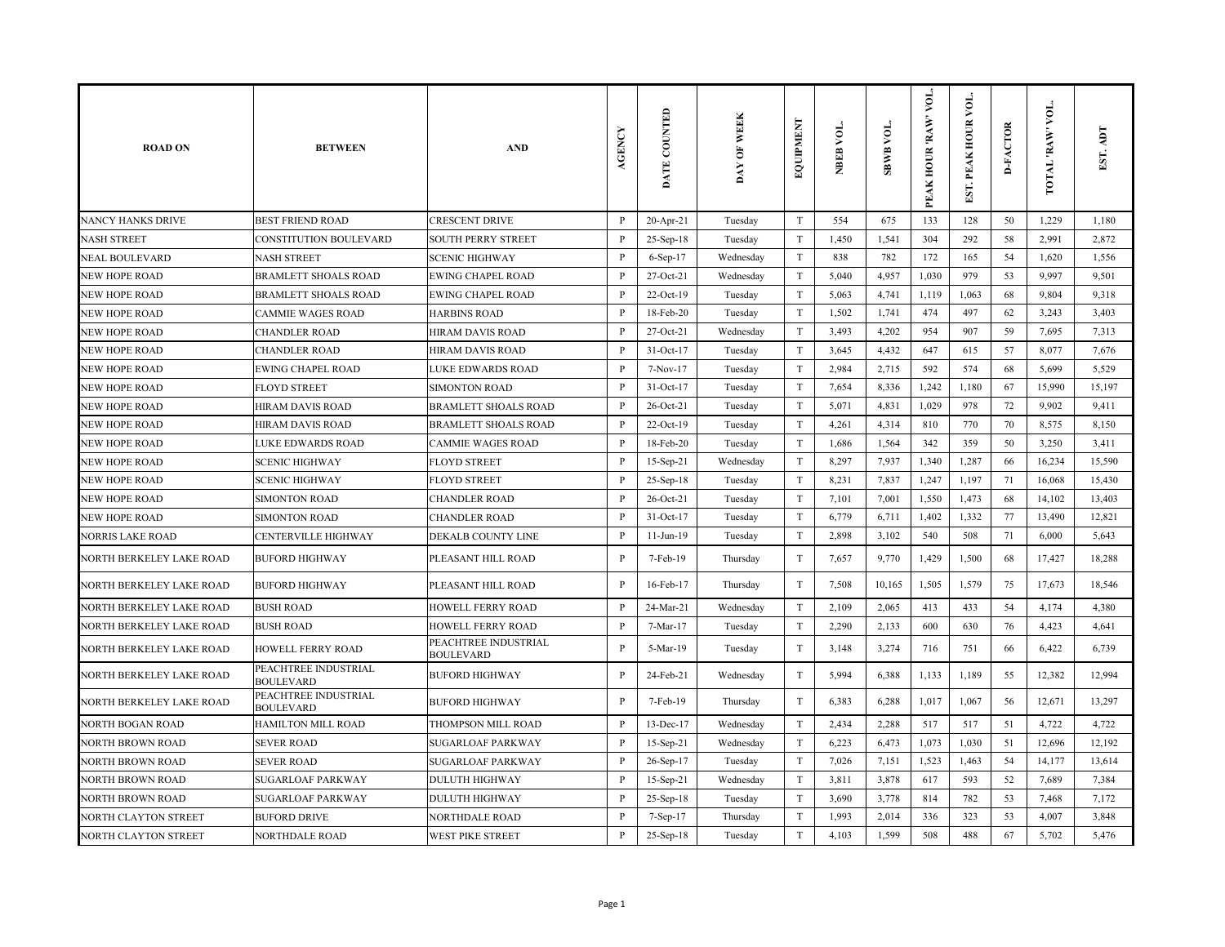| <b>ROAD ON</b>                  | <b>BETWEEN</b>                           | <b>AND</b>                               | AGENCY       | DATE COUNTED | DAY OF WEEK | EQUIPMENT                 | NBEB VOL. | <b>SBWB VOL.</b> | VOL.<br><b>RAW</b><br>PEAK HOUR | $\overline{\mathsf{A}}$<br>EST. PEAK HOUR | <b>D-FACTOR</b> | VOL.<br>TOTAL RAW | EST. ADT |
|---------------------------------|------------------------------------------|------------------------------------------|--------------|--------------|-------------|---------------------------|-----------|------------------|---------------------------------|-------------------------------------------|-----------------|-------------------|----------|
| NANCY HANKS DRIVE               | <b>BEST FRIEND ROAD</b>                  | <b>CRESCENT DRIVE</b>                    | $\, {\bf P}$ | $20$ -Apr-21 | Tuesday     | T                         | 554       | 675              | 133                             | 128                                       | 50              | 1,229             | 1,180    |
| <b>NASH STREET</b>              | CONSTITUTION BOULEVARD                   | <b>SOUTH PERRY STREET</b>                | $\, {\bf P}$ | 25-Sep-18    | Tuesday     | $\rm T$                   | 1,450     | 1,541            | 304                             | 292                                       | 58              | 2,991             | 2,872    |
| <b>NEAL BOULEVARD</b>           | <b>NASH STREET</b>                       | <b>SCENIC HIGHWAY</b>                    | $\mathbf{P}$ | $6-Sep-17$   | Wednesday   | T                         | 838       | 782              | 172                             | 165                                       | 54              | 1,620             | 1,556    |
| <b>NEW HOPE ROAD</b>            | <b>BRAMLETT SHOALS ROAD</b>              | <b>EWING CHAPEL ROAD</b>                 | $\mathbf{P}$ | 27-Oct-21    | Wednesday   | T                         | 5,040     | 4,957            | 1,030                           | 979                                       | 53              | 9,997             | 9,501    |
| <b>NEW HOPE ROAD</b>            | <b>BRAMLETT SHOALS ROAD</b>              | <b>EWING CHAPEL ROAD</b>                 | P            | $22-Oct-19$  | Tuesday     | $\rm T$                   | 5,063     | 4,741            | 1,119                           | 1,063                                     | 68              | 9,804             | 9,318    |
| NEW HOPE ROAD                   | <b>CAMMIE WAGES ROAD</b>                 | <b>HARBINS ROAD</b>                      | $\mathbf{P}$ | 18-Feb-20    | Tuesday     | $\rm T$                   | 1,502     | 1,741            | 474                             | 497                                       | 62              | 3,243             | 3,403    |
| <b>NEW HOPE ROAD</b>            | <b>CHANDLER ROAD</b>                     | HIRAM DAVIS ROAD                         | $\mathbf{P}$ | 27-Oct-21    | Wednesday   | $\ensuremath{\mathrm{T}}$ | 3,493     | 4,202            | 954                             | 907                                       | 59              | 7,695             | 7,313    |
| <b>NEW HOPE ROAD</b>            | <b>CHANDLER ROAD</b>                     | HIRAM DAVIS ROAD                         | P            | $31-Oct-17$  | Tuesday     | T                         | 3,645     | 4,432            | 647                             | 615                                       | 57              | 8,077             | 7,676    |
| <b>NEW HOPE ROAD</b>            | <b>EWING CHAPEL ROAD</b>                 | LUKE EDWARDS ROAD                        | P            | 7-Nov-17     | Tuesday     | $\rm T$                   | 2,984     | 2,715            | 592                             | 574                                       | 68              | 5,699             | 5,529    |
| <b>NEW HOPE ROAD</b>            | <b>FLOYD STREET</b>                      | <b>SIMONTON ROAD</b>                     | $\mathbf{P}$ | $31-Oct-17$  | Tuesday     | $\rm T$                   | 7,654     | 8,336            | 1,242                           | 1,180                                     | 67              | 15,990            | 15,197   |
| <b>NEW HOPE ROAD</b>            | <b>HIRAM DAVIS ROAD</b>                  | <b>BRAMLETT SHOALS ROAD</b>              | P            | 26-Oct-21    | Tuesday     | $\ensuremath{\mathrm{T}}$ | 5,071     | 4,831            | 1,029                           | 978                                       | 72              | 9,902             | 9,411    |
| <b>NEW HOPE ROAD</b>            | HIRAM DAVIS ROAD                         | <b>BRAMLETT SHOALS ROAD</b>              | $\mathbf{P}$ | $22-Oct-19$  | Tuesday     | T                         | 4,261     | 4,314            | 810                             | 770                                       | 70              | 8,575             | 8,150    |
| <b>NEW HOPE ROAD</b>            | LUKE EDWARDS ROAD                        | <b>CAMMIE WAGES ROAD</b>                 | $\, {\bf P}$ | 18-Feb-20    | Tuesday     | $\rm T$                   | 1,686     | 1,564            | 342                             | 359                                       | 50              | 3,250             | 3,411    |
| NEW HOPE ROAD                   | <b>SCENIC HIGHWAY</b>                    | <b>FLOYD STREET</b>                      | $\mathbf{P}$ | 15-Sep-21    | Wednesday   | $\rm T$                   | 8,297     | 7,937            | 1,340                           | 1,287                                     | 66              | 16,234            | 15,590   |
| <b>NEW HOPE ROAD</b>            | <b>SCENIC HIGHWAY</b>                    | <b>FLOYD STREET</b>                      | P            | 25-Sep-18    | Tuesday     | T                         | 8,231     | 7,837            | 1,247                           | 1,197                                     | 71              | 16,068            | 15,430   |
| <b>NEW HOPE ROAD</b>            | <b>SIMONTON ROAD</b>                     | <b>CHANDLER ROAD</b>                     | P            | 26-Oct-21    | Tuesday     | T                         | 7,101     | 7,001            | 1,550                           | 1,473                                     | 68              | 14,102            | 13,403   |
| <b>NEW HOPE ROAD</b>            | <b>SIMONTON ROAD</b>                     | <b>CHANDLER ROAD</b>                     | P            | 31-Oct-17    | Tuesday     | T                         | 6,779     | 6,711            | 1,402                           | 1,332                                     | 77              | 13,490            | 12,821   |
| <b>NORRIS LAKE ROAD</b>         | CENTERVILLE HIGHWAY                      | DEKALB COUNTY LINE                       | $\mathbf{P}$ | $11-Jun-19$  | Tuesday     | T                         | 2,898     | 3,102            | 540                             | 508                                       | 71              | 6,000             | 5,643    |
| NORTH BERKELEY LAKE ROAD        | <b>BUFORD HIGHWAY</b>                    | PLEASANT HILL ROAD                       | $\mathbf{P}$ | 7-Feb-19     | Thursday    | T                         | 7,657     | 9,770            | 1,429                           | 1,500                                     | 68              | 17,427            | 18,288   |
| NORTH BERKELEY LAKE ROAD        | <b>BUFORD HIGHWAY</b>                    | PLEASANT HILL ROAD                       | $\mathbf{P}$ | 16-Feb-17    | Thursday    | $\mathbf T$               | 7,508     | 10,165           | 1,505                           | 1,579                                     | 75              | 17,673            | 18,546   |
| NORTH BERKELEY LAKE ROAD        | <b>BUSH ROAD</b>                         | <b>HOWELL FERRY ROAD</b>                 | $\, {\bf P}$ | 24-Mar-21    | Wednesday   | $\mathbf T$               | 2,109     | 2,065            | 413                             | 433                                       | 54              | 4,174             | 4,380    |
| NORTH BERKELEY LAKE ROAD        | <b>BUSH ROAD</b>                         | HOWELL FERRY ROAD                        | P            | 7-Mar-17     | Tuesday     | $\mathbf T$               | 2,290     | 2,133            | 600                             | 630                                       | 76              | 4,423             | 4,641    |
| NORTH BERKELEY LAKE ROAD        | HOWELL FERRY ROAD                        | PEACHTREE INDUSTRIAL<br><b>BOULEVARD</b> | $\mathbf{P}$ | 5-Mar-19     | Tuesday     | $\ensuremath{\mathrm{T}}$ | 3,148     | 3,274            | 716                             | 751                                       | 66              | 6,422             | 6,739    |
| <b>NORTH BERKELEY LAKE ROAD</b> | PEACHTREE INDUSTRIAL<br><b>BOULEVARD</b> | <b>BUFORD HIGHWAY</b>                    | $\mathbf{P}$ | 24-Feb-21    | Wednesday   | $\mathbf T$               | 5,994     | 6,388            | 1,133                           | 1,189                                     | 55              | 12,382            | 12,994   |
| NORTH BERKELEY LAKE ROAD        | PEACHTREE INDUSTRIAL<br><b>BOULEVARD</b> | <b>BUFORD HIGHWAY</b>                    | $\mathbf{P}$ | 7-Feb-19     | Thursday    | $\ensuremath{\mathrm{T}}$ | 6,383     | 6,288            | 1,017                           | 1,067                                     | 56              | 12,671            | 13,297   |
| <b>NORTH BOGAN ROAD</b>         | HAMILTON MILL ROAD                       | THOMPSON MILL ROAD                       | $\mathbf{P}$ | 13-Dec-17    | Wednesday   | $\ensuremath{\mathrm{T}}$ | 2,434     | 2,288            | 517                             | 517                                       | 51              | 4,722             | 4,722    |
| <b>NORTH BROWN ROAD</b>         | <b>SEVER ROAD</b>                        | <b>SUGARLOAF PARKWAY</b>                 | P            | 15-Sep-21    | Wednesday   | $\ensuremath{\mathrm{T}}$ | 6,223     | 6,473            | 1,073                           | 1,030                                     | 51              | 12,696            | 12,192   |
| <b>NORTH BROWN ROAD</b>         | <b>SEVER ROAD</b>                        | <b>SUGARLOAF PARKWAY</b>                 | $\mathbf{P}$ | 26-Sep-17    | Tuesday     | T                         | 7,026     | 7,151            | 1,523                           | 1,463                                     | 54              | 14,177            | 13,614   |
| <b>NORTH BROWN ROAD</b>         | <b>SUGARLOAF PARKWAY</b>                 | <b>DULUTH HIGHWAY</b>                    | P            | 15-Sep-21    | Wednesday   | T                         | 3,811     | 3,878            | 617                             | 593                                       | 52              | 7,689             | 7,384    |
| <b>NORTH BROWN ROAD</b>         | SUGARLOAF PARKWAY                        | <b>DULUTH HIGHWAY</b>                    | P            | 25-Sep-18    | Tuesday     | T                         | 3,690     | 3,778            | 814                             | 782                                       | 53              | 7,468             | 7,172    |
| NORTH CLAYTON STREET            | <b>BUFORD DRIVE</b>                      | NORTHDALE ROAD                           | P            | 7-Sep-17     | Thursday    | $\ensuremath{\mathrm{T}}$ | 1,993     | 2,014            | 336                             | 323                                       | 53              | 4,007             | 3,848    |
| <b>NORTH CLAYTON STREET</b>     | <b>NORTHDALE ROAD</b>                    | <b>WEST PIKE STREET</b>                  | $\mathbf{P}$ | $25-Sep-18$  | Tuesday     | T                         | 4,103     | 1,599            | 508                             | 488                                       | 67              | 5,702             | 5,476    |